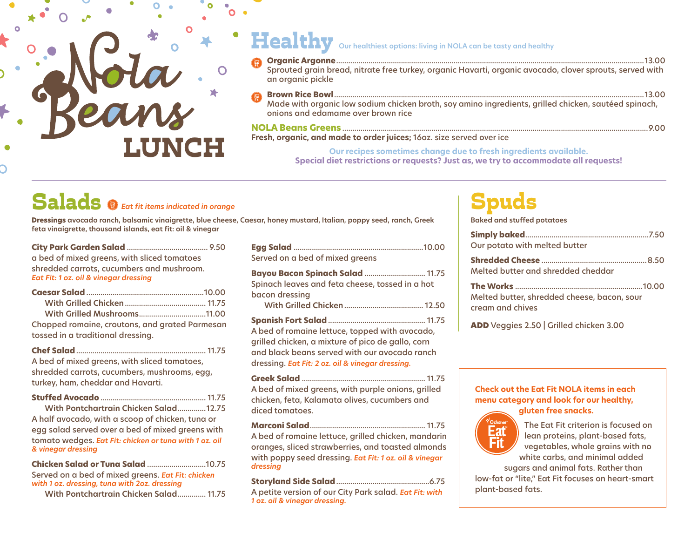# LUNCH

### Healthy **Our healthiest options: living in NOLA can be tasty and healthy**

|     | an organic pickle                                                                                                                          |
|-----|--------------------------------------------------------------------------------------------------------------------------------------------|
| (部) | Made with organic low sodium chicken broth, soy amino ingredients, grilled chicken, sautéed spinach,<br>onions and edamame over brown rice |

### **NOLA Beans Greens** .......................................................................................................................................................9.00

**Fresh, organic, and made to order juices;** 16oz. size served over ice

**Our recipes sometimes change due to fresh ingredients available.**

**Special diet restrictions or requests? Just as, we try to accommodate all requests!**

## Salads *Eat fit items indicated in orange*

**Dressings avocado ranch, balsamic vinaigrette, blue cheese, Caesar, honey mustard, Italian, poppy seed, ranch, Greek feta vinaigrette, thousand islands, eat fit: oil & vinegar**

| a bed of mixed greens, with sliced tomatoes |  |
|---------------------------------------------|--|
| shredded carrots, cucumbers and mushroom.   |  |
| Eat Fit: 1 oz. oil & vinegar dressing       |  |
|                                             |  |

| Chopped romaine, croutons, and grated Parmesan |  |
|------------------------------------------------|--|

tossed in a traditional dressing. **Chef Salad**................................................................ 11.75

A bed of mixed greens, with sliced tomatoes, shredded carrots, cucumbers, mushrooms, egg, turkey, ham, cheddar and Havarti.

| With Pontchartrain Chicken Salad12.75                                        |  |
|------------------------------------------------------------------------------|--|
| A half avocado, with a scoop of chicken, tuna or                             |  |
| egg salad served over a bed of mixed greens with                             |  |
| tomato wedges. Eat Fit: chicken or tuna with 1 oz. oil<br>& vinegar dressing |  |

| <b>Chicken Salad or Tuna Salad 10.75</b>          |  |
|---------------------------------------------------|--|
| Served on a bed of mixed greens. Eat Fit: chicken |  |
| with 1 oz. dressing, tuna with 2oz. dressing      |  |
| With Pontchartrain Chicken Salad 11.75            |  |

| Served on a bed of mixed greens                                                                                                                                                                          |  |
|----------------------------------------------------------------------------------------------------------------------------------------------------------------------------------------------------------|--|
| <b>Bayou Bacon Spinach Salad  11.75</b><br>Spinach leaves and feta cheese, tossed in a hot<br>bacon dressing                                                                                             |  |
| A bed of romaine lettuce, topped with avocado,<br>grilled chicken, a mixture of pico de gallo, corn<br>and black beans served with our avocado ranch<br>dressing. Eat Fit: 2 oz. oil & vinegar dressing. |  |
| A bed of mixed areens, with purple onions, arilled                                                                                                                                                       |  |

A bed of mixed greens, with purple onions, grilled chicken, feta, Kalamata olives, cucumbers and diced tomatoes.

**Marconi Salad**......................................................... 11.75 A bed of romaine lettuce, grilled chicken, mandarin oranges, sliced strawberries, and toasted almonds with poppy seed dressing. *Eat Fit: 1 oz. oil & vinegar dressing*

**Storyland Side Salad**..............................................6.75 A petite version of our City Park salad. *Eat Fit: with 1 oz. oil & vinegar dressing.*

### Spuds

**Baked and stuffed potatoes**

| Our potato with melted butter                                   |
|-----------------------------------------------------------------|
| Melted butter and shredded cheddar                              |
| Melted butter, shredded cheese, bacon, sour<br>cream and chives |
| ADD Veggies 2.50   Grilled chicken 3.00                         |

**Check out the Eat Fit NOLA items in each menu category and look for our healthy, gluten free snacks.** 



The Eat Fit criterion is focused on lean proteins, plant-based fats, vegetables, whole grains with no white carbs, and minimal added sugars and animal fats. Rather than

low-fat or "lite," Eat Fit focuses on heart-smart plant-based fats.